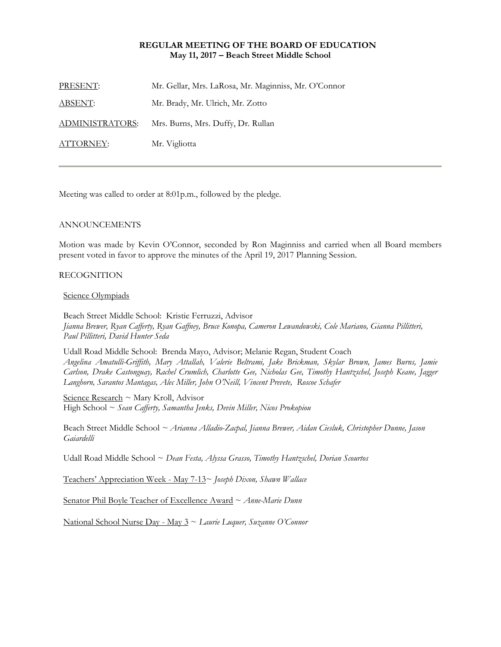## **REGULAR MEETING OF THE BOARD OF EDUCATION May 11, 2017 – Beach Street Middle School**

| Mr. Gellar, Mrs. LaRosa, Mr. Maginniss, Mr. O'Connor |
|------------------------------------------------------|
| Mr. Brady, Mr. Ulrich, Mr. Zotto                     |
| Mrs. Burns, Mrs. Duffy, Dr. Rullan                   |
| Mr. Vigliotta                                        |
|                                                      |

Meeting was called to order at 8:01p.m., followed by the pledge.

## ANNOUNCEMENTS

Motion was made by Kevin O'Connor, seconded by Ron Maginniss and carried when all Board members present voted in favor to approve the minutes of the April 19, 2017 Planning Session.

### RECOGNITION

#### Science Olympiads

Beach Street Middle School: Kristie Ferruzzi, Advisor *Jianna Brewer, Ryan Cafferty, Ryan Gaffney, Bruce Konopa, Cameron Lewandowski, Cole Mariano, Gianna Pillitteri, Paul Pillitteri, David Hunter Seda* 

Udall Road Middle School: Brenda Mayo, Advisor; Melanie Regan, Student Coach *Angelina Amatulli-Griffith, Mary Attallah, Valerie Beltrami, Jake Brickman, Skylar Brown, James Burns, Jamie Carlson, Drake Castonguay, Rachel Crumlich, Charlotte Gee, Nicholas Gee, Timothy Hantzschel, Joseph Keane, Jagger Langhorn, Sarantos Mantagas, Alec Miller, John O'Neill, Vincent Prevete, Roscoe Schafer* 

Science Research ~ Mary Kroll, Advisor High School ~ *Sean Cafferty, Samantha Jenks, Devin Miller, Nicos Prokopiou* 

Beach Street Middle School *~ Arianna Alladio-Zacpal, Jianna Brewer, Aidan Ciesluk, Christopher Dunne, Jason Gaiardelli* 

Udall Road Middle School ~ *Dean Festa, Alyssa Grasso, Timothy Hantzschel, Dorian Scourtos* 

Teachers' Appreciation Week - May 7-13~ *Joseph Dixon, Shawn Wallace*

Senator Phil Boyle Teacher of Excellence Award ~ *Anne-Marie Dunn*

National School Nurse Day - May 3 ~ *Laurie Luquer, Suzanne O'Connor*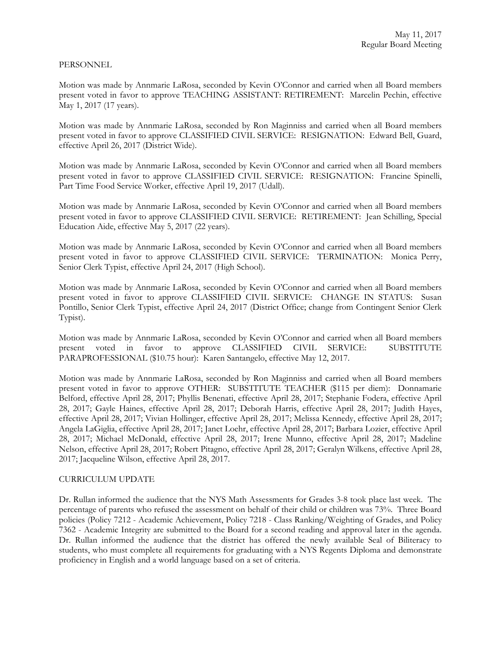### PERSONNEL

Motion was made by Annmarie LaRosa, seconded by Kevin O'Connor and carried when all Board members present voted in favor to approve TEACHING ASSISTANT: RETIREMENT: Marcelin Pechin, effective May 1, 2017 (17 years).

Motion was made by Annmarie LaRosa, seconded by Ron Maginniss and carried when all Board members present voted in favor to approve CLASSIFIED CIVIL SERVICE: RESIGNATION: Edward Bell, Guard, effective April 26, 2017 (District Wide).

Motion was made by Annmarie LaRosa, seconded by Kevin O'Connor and carried when all Board members present voted in favor to approve CLASSIFIED CIVIL SERVICE: RESIGNATION: Francine Spinelli, Part Time Food Service Worker, effective April 19, 2017 (Udall).

Motion was made by Annmarie LaRosa, seconded by Kevin O'Connor and carried when all Board members present voted in favor to approve CLASSIFIED CIVIL SERVICE: RETIREMENT: Jean Schilling, Special Education Aide, effective May 5, 2017 (22 years).

Motion was made by Annmarie LaRosa, seconded by Kevin O'Connor and carried when all Board members present voted in favor to approve CLASSIFIED CIVIL SERVICE: TERMINATION: Monica Perry, Senior Clerk Typist, effective April 24, 2017 (High School).

Motion was made by Annmarie LaRosa, seconded by Kevin O'Connor and carried when all Board members present voted in favor to approve CLASSIFIED CIVIL SERVICE: CHANGE IN STATUS: Susan Pontillo, Senior Clerk Typist, effective April 24, 2017 (District Office; change from Contingent Senior Clerk Typist).

Motion was made by Annmarie LaRosa, seconded by Kevin O'Connor and carried when all Board members present voted in favor to approve CLASSIFIED CIVIL SERVICE: SUBSTITUTE PARAPROFESSIONAL (\$10.75 hour): Karen Santangelo, effective May 12, 2017.

Motion was made by Annmarie LaRosa, seconded by Ron Maginniss and carried when all Board members present voted in favor to approve OTHER: SUBSTITUTE TEACHER (\$115 per diem): Donnamarie Belford, effective April 28, 2017; Phyllis Benenati, effective April 28, 2017; Stephanie Fodera, effective April 28, 2017; Gayle Haines, effective April 28, 2017; Deborah Harris, effective April 28, 2017; Judith Hayes, effective April 28, 2017; Vivian Hollinger, effective April 28, 2017; Melissa Kennedy, effective April 28, 2017; Angela LaGiglia, effective April 28, 2017; Janet Loehr, effective April 28, 2017; Barbara Lozier, effective April 28, 2017; Michael McDonald, effective April 28, 2017; Irene Munno, effective April 28, 2017; Madeline Nelson, effective April 28, 2017; Robert Pitagno, effective April 28, 2017; Geralyn Wilkens, effective April 28, 2017; Jacqueline Wilson, effective April 28, 2017.

### CURRICULUM UPDATE

Dr. Rullan informed the audience that the NYS Math Assessments for Grades 3-8 took place last week. The percentage of parents who refused the assessment on behalf of their child or children was 73%. Three Board policies (Policy 7212 - Academic Achievement, Policy 7218 - Class Ranking/Weighting of Grades, and Policy 7362 - Academic Integrity are submitted to the Board for a second reading and approval later in the agenda. Dr. Rullan informed the audience that the district has offered the newly available Seal of Biliteracy to students, who must complete all requirements for graduating with a NYS Regents Diploma and demonstrate proficiency in English and a world language based on a set of criteria.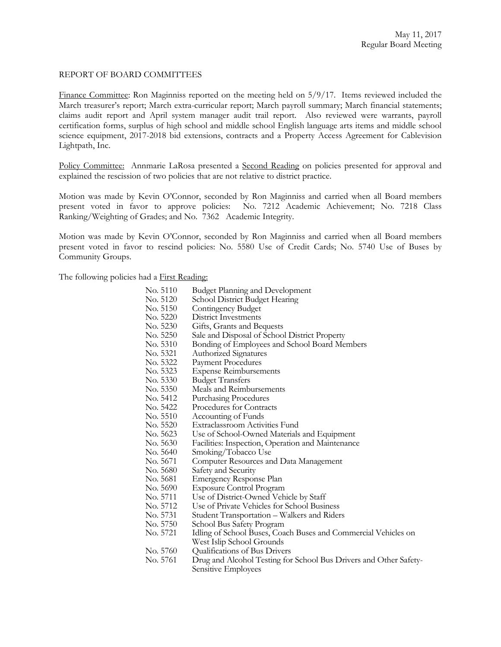### REPORT OF BOARD COMMITTEES

Finance Committee: Ron Maginniss reported on the meeting held on 5/9/17. Items reviewed included the March treasurer's report; March extra-curricular report; March payroll summary; March financial statements; claims audit report and April system manager audit trail report. Also reviewed were warrants, payroll certification forms, surplus of high school and middle school English language arts items and middle school science equipment, 2017-2018 bid extensions, contracts and a Property Access Agreement for Cablevision Lightpath, Inc.

Policy Committee: Annmarie LaRosa presented a Second Reading on policies presented for approval and explained the rescission of two policies that are not relative to district practice.

Motion was made by Kevin O'Connor, seconded by Ron Maginniss and carried when all Board members present voted in favor to approve policies: No. 7212 Academic Achievement; No. 7218 Class Ranking/Weighting of Grades; and No. 7362 Academic Integrity.

Motion was made by Kevin O'Connor, seconded by Ron Maginniss and carried when all Board members present voted in favor to rescind policies: No. 5580 Use of Credit Cards; No. 5740 Use of Buses by Community Groups.

The following policies had a **First Reading:** 

- No. 5110 Budget Planning and Development
- No. 5120 School District Budget Hearing
- No. 5150 Contingency Budget<br>No. 5220 District Investments
- District Investments
- No. 5230 Gifts, Grants and Bequests<br>No. 5250 Sale and Disposal of School
- No. 5250 Sale and Disposal of School District Property<br>No. 5310 Bonding of Employees and School Board Me
- Bonding of Employees and School Board Members
- No. 5321 Authorized Signatures
- No. 5322 Payment Procedures<br>No. 5323 Expense Reimburser
- Expense Reimbursements
- No. 5330 Budget Transfers<br>No. 5350 Meals and Reimbi
- No. 5350 Meals and Reimbursements<br>No. 5412 Purchasing Procedures
	- Purchasing Procedures
- No. 5422 Procedures for Contracts
- No. 5510 Accounting of Funds<br>No. 5520 Extraclassroom Activ
	- Extraclassroom Activities Fund
- No. 5623 Use of School-Owned Materials and Equipment
- No. 5630 Facilities: Inspection, Operation and Maintenance
	- Smoking/Tobacco Use
- No. 5671 Computer Resources and Data Management
- No. 5680 Safety and Security<br>No. 5681 Emergency Respon
	- Emergency Response Plan
- No. 5690 Exposure Control Program<br>No. 5711 Use of District-Owned Veh
- No. 5711 Use of District-Owned Vehicle by Staff<br>No. 5712 Use of Private Vehicles for School Busin
	- Use of Private Vehicles for School Business
- No. 5731 Student Transportation Walkers and Riders
- No. 5750 School Bus Safety Program<br>No. 5721 Idling of School Buses, Coa
- Idling of School Buses, Coach Buses and Commercial Vehicles on West Islip School Grounds
- No. 5760 Qualifications of Bus Drivers<br>No. 5761 Drug and Alcohol Testing for
- Drug and Alcohol Testing for School Bus Drivers and Other Safety-Sensitive Employees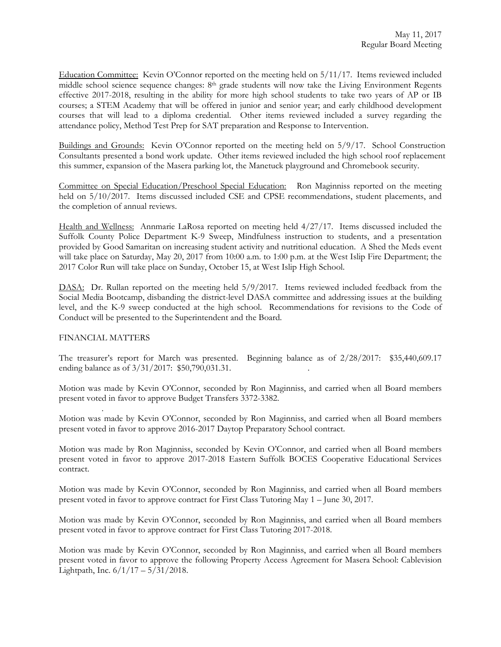Education Committee: Kevin O'Connor reported on the meeting held on 5/11/17. Items reviewed included middle school science sequence changes: 8th grade students will now take the Living Environment Regents effective 2017-2018, resulting in the ability for more high school students to take two years of AP or IB courses; a STEM Academy that will be offered in junior and senior year; and early childhood development courses that will lead to a diploma credential. Other items reviewed included a survey regarding the attendance policy, Method Test Prep for SAT preparation and Response to Intervention.

Buildings and Grounds: Kevin O'Connor reported on the meeting held on 5/9/17. School Construction Consultants presented a bond work update. Other items reviewed included the high school roof replacement this summer, expansion of the Masera parking lot, the Manetuck playground and Chromebook security.

Committee on Special Education/Preschool Special Education: Ron Maginniss reported on the meeting held on 5/10/2017. Items discussed included CSE and CPSE recommendations, student placements, and the completion of annual reviews.

Health and Wellness: Annmarie LaRosa reported on meeting held 4/27/17. Items discussed included the Suffolk County Police Department K-9 Sweep, Mindfulness instruction to students, and a presentation provided by Good Samaritan on increasing student activity and nutritional education. A Shed the Meds event will take place on Saturday, May 20, 2017 from 10:00 a.m. to 1:00 p.m. at the West Islip Fire Department; the 2017 Color Run will take place on Sunday, October 15, at West Islip High School.

DASA: Dr. Rullan reported on the meeting held 5/9/2017. Items reviewed included feedback from the Social Media Bootcamp, disbanding the district-level DASA committee and addressing issues at the building level, and the K-9 sweep conducted at the high school. Recommendations for revisions to the Code of Conduct will be presented to the Superintendent and the Board.

# FINANCIAL MATTERS

.

The treasurer's report for March was presented. Beginning balance as of 2/28/2017: \$35,440,609.17 ending balance as of  $3/31/2017$ : \$50,790,031.31.

Motion was made by Kevin O'Connor, seconded by Ron Maginniss, and carried when all Board members present voted in favor to approve Budget Transfers 3372-3382.

Motion was made by Kevin O'Connor, seconded by Ron Maginniss, and carried when all Board members present voted in favor to approve 2016-2017 Daytop Preparatory School contract.

Motion was made by Ron Maginniss, seconded by Kevin O'Connor, and carried when all Board members present voted in favor to approve 2017-2018 Eastern Suffolk BOCES Cooperative Educational Services contract.

Motion was made by Kevin O'Connor, seconded by Ron Maginniss, and carried when all Board members present voted in favor to approve contract for First Class Tutoring May 1 – June 30, 2017.

Motion was made by Kevin O'Connor, seconded by Ron Maginniss, and carried when all Board members present voted in favor to approve contract for First Class Tutoring 2017-2018.

Motion was made by Kevin O'Connor, seconded by Ron Maginniss, and carried when all Board members present voted in favor to approve the following Property Access Agreement for Masera School: Cablevision Lightpath, Inc. 6/1/17 – 5/31/2018.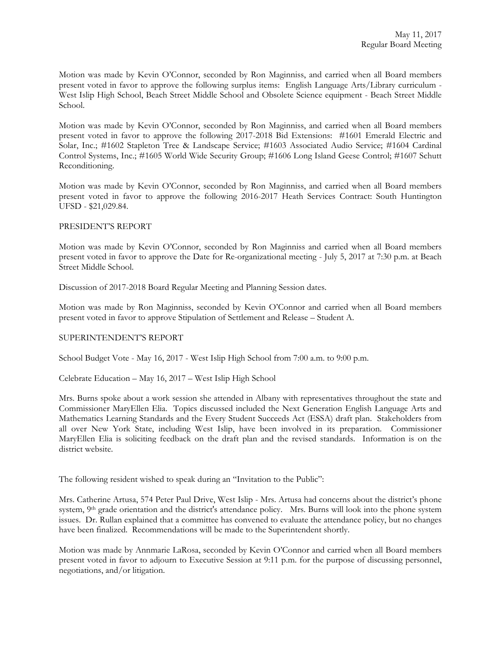Motion was made by Kevin O'Connor, seconded by Ron Maginniss, and carried when all Board members present voted in favor to approve the following surplus items: English Language Arts/Library curriculum - West Islip High School, Beach Street Middle School and Obsolete Science equipment - Beach Street Middle School.

Motion was made by Kevin O'Connor, seconded by Ron Maginniss, and carried when all Board members present voted in favor to approve the following 2017-2018 Bid Extensions: #1601 Emerald Electric and Solar, Inc.; #1602 Stapleton Tree & Landscape Service; #1603 Associated Audio Service; #1604 Cardinal Control Systems, Inc.; #1605 World Wide Security Group; #1606 Long Island Geese Control; #1607 Schutt Reconditioning.

Motion was made by Kevin O'Connor, seconded by Ron Maginniss, and carried when all Board members present voted in favor to approve the following 2016-2017 Heath Services Contract: South Huntington UFSD - \$21,029.84.

## PRESIDENT'S REPORT

Motion was made by Kevin O'Connor, seconded by Ron Maginniss and carried when all Board members present voted in favor to approve the Date for Re-organizational meeting - July 5, 2017 at 7:30 p.m. at Beach Street Middle School.

Discussion of 2017-2018 Board Regular Meeting and Planning Session dates.

Motion was made by Ron Maginniss, seconded by Kevin O'Connor and carried when all Board members present voted in favor to approve Stipulation of Settlement and Release – Student A.

# SUPERINTENDENT'S REPORT

School Budget Vote - May 16, 2017 - West Islip High School from 7:00 a.m. to 9:00 p.m.

Celebrate Education – May 16, 2017 – West Islip High School

Mrs. Burns spoke about a work session she attended in Albany with representatives throughout the state and Commissioner MaryEllen Elia. Topics discussed included the Next Generation English Language Arts and Mathematics Learning Standards and the Every Student Succeeds Act (ESSA) draft plan. Stakeholders from all over New York State, including West Islip, have been involved in its preparation. Commissioner MaryEllen Elia is soliciting feedback on the draft plan and the revised standards. Information is on the district website.

The following resident wished to speak during an "Invitation to the Public":

Mrs. Catherine Artusa, 574 Peter Paul Drive, West Islip - Mrs. Artusa had concerns about the district's phone system, 9th grade orientation and the district's attendance policy. Mrs. Burns will look into the phone system issues. Dr. Rullan explained that a committee has convened to evaluate the attendance policy, but no changes have been finalized. Recommendations will be made to the Superintendent shortly.

Motion was made by Annmarie LaRosa, seconded by Kevin O'Connor and carried when all Board members present voted in favor to adjourn to Executive Session at 9:11 p.m. for the purpose of discussing personnel, negotiations, and/or litigation.